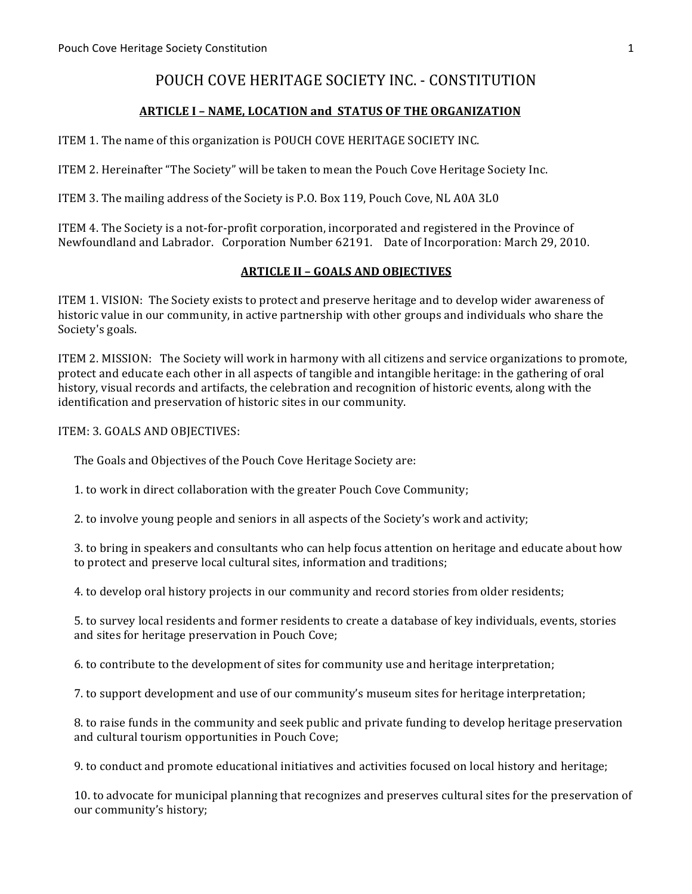# POUCH COVE HERITAGE SOCIETY INC. - CONSTITUTION

# **ARTICLE I - NAME, LOCATION and STATUS OF THE ORGANIZATION**

ITEM 1. The name of this organization is POUCH COVE HERITAGE SOCIETY INC.

ITEM 2. Hereinafter "The Society" will be taken to mean the Pouch Cove Heritage Society Inc.

ITEM 3. The mailing address of the Society is P.O. Box 119, Pouch Cove, NL A0A 3L0

ITEM 4. The Society is a not-for-profit corporation, incorporated and registered in the Province of Newfoundland and Labrador. Corporation Number 62191. Date of Incorporation: March 29, 2010.

#### **ARTICLE II - GOALS AND OBJECTIVES**

ITEM 1. VISION: The Society exists to protect and preserve heritage and to develop wider awareness of historic value in our community, in active partnership with other groups and individuals who share the Society's goals.

ITEM 2. MISSION: The Society will work in harmony with all citizens and service organizations to promote, protect and educate each other in all aspects of tangible and intangible heritage: in the gathering of oral history, visual records and artifacts, the celebration and recognition of historic events, along with the identification and preservation of historic sites in our community.

ITEM: 3. GOALS AND OBJECTIVES:

The Goals and Objectives of the Pouch Cove Heritage Society are:

1. to work in direct collaboration with the greater Pouch Cove Community;

2. to involve young people and seniors in all aspects of the Society's work and activity;

3. to bring in speakers and consultants who can help focus attention on heritage and educate about how to protect and preserve local cultural sites, information and traditions;

4. to develop oral history projects in our community and record stories from older residents;

5. to survey local residents and former residents to create a database of key individuals, events, stories and sites for heritage preservation in Pouch Cove;

6. to contribute to the development of sites for community use and heritage interpretation;

7. to support development and use of our community's museum sites for heritage interpretation;

8. to raise funds in the community and seek public and private funding to develop heritage preservation and cultural tourism opportunities in Pouch Cove;

9. to conduct and promote educational initiatives and activities focused on local history and heritage;

10. to advocate for municipal planning that recognizes and preserves cultural sites for the preservation of our community's history;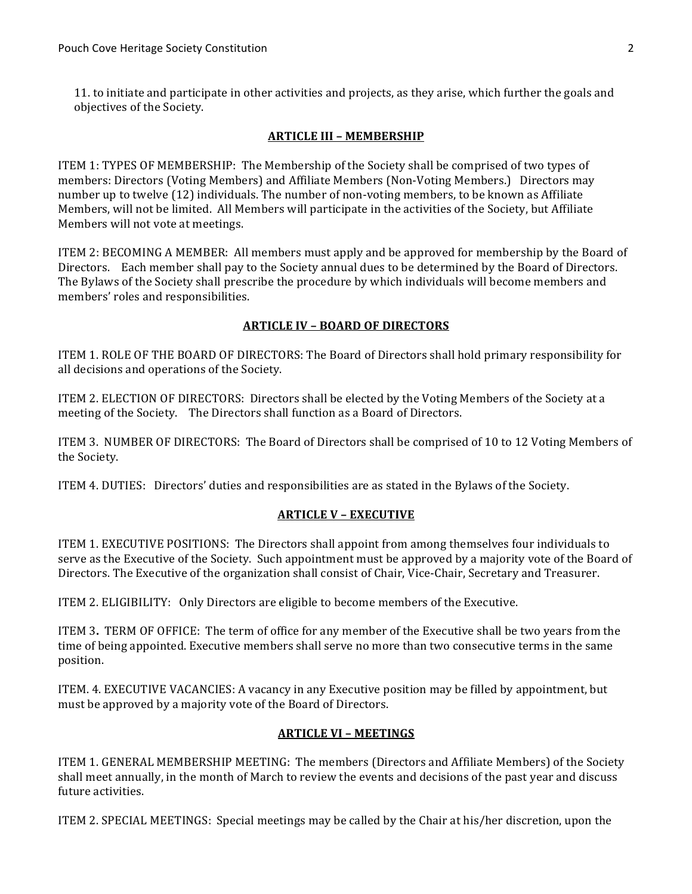11. to initiate and participate in other activities and projects, as they arise, which further the goals and objectives of the Society.

#### **ARTICLE III - MEMBERSHIP**

ITEM 1: TYPES OF MEMBERSHIP: The Membership of the Society shall be comprised of two types of members: Directors (Voting Members) and Affiliate Members (Non-Voting Members.) Directors may number up to twelve (12) individuals. The number of non-voting members, to be known as Affiliate Members, will not be limited. All Members will participate in the activities of the Society, but Affiliate Members will not vote at meetings.

ITEM 2: BECOMING A MEMBER: All members must apply and be approved for membership by the Board of Directors. Each member shall pay to the Society annual dues to be determined by the Board of Directors. The Bylaws of the Society shall prescribe the procedure by which individuals will become members and members' roles and responsibilities.

#### **ARTICLE IV - BOARD OF DIRECTORS**

ITEM 1. ROLE OF THE BOARD OF DIRECTORS: The Board of Directors shall hold primary responsibility for all decisions and operations of the Society.

ITEM 2. ELECTION OF DIRECTORS: Directors shall be elected by the Voting Members of the Society at a meeting of the Society. The Directors shall function as a Board of Directors.

ITEM 3. NUMBER OF DIRECTORS: The Board of Directors shall be comprised of 10 to 12 Voting Members of the Society.

ITEM 4. DUTIES: Directors' duties and responsibilities are as stated in the Bylaws of the Society.

# **ARTICLE V - EXECUTIVE**

ITEM 1. EXECUTIVE POSITIONS: The Directors shall appoint from among themselves four individuals to serve as the Executive of the Society. Such appointment must be approved by a majority vote of the Board of Directors. The Executive of the organization shall consist of Chair, Vice-Chair, Secretary and Treasurer.

ITEM 2. ELIGIBILITY: Only Directors are eligible to become members of the Executive.

ITEM 3. TERM OF OFFICE: The term of office for any member of the Executive shall be two years from the time of being appointed. Executive members shall serve no more than two consecutive terms in the same position.

ITEM. 4. EXECUTIVE VACANCIES: A vacancy in any Executive position may be filled by appointment, but must be approved by a majority vote of the Board of Directors.

#### **ARTICLE VI - MEETINGS**

ITEM 1. GENERAL MEMBERSHIP MEETING: The members (Directors and Affiliate Members) of the Society shall meet annually, in the month of March to review the events and decisions of the past year and discuss future activities.

ITEM 2. SPECIAL MEETINGS: Special meetings may be called by the Chair at his/her discretion, upon the